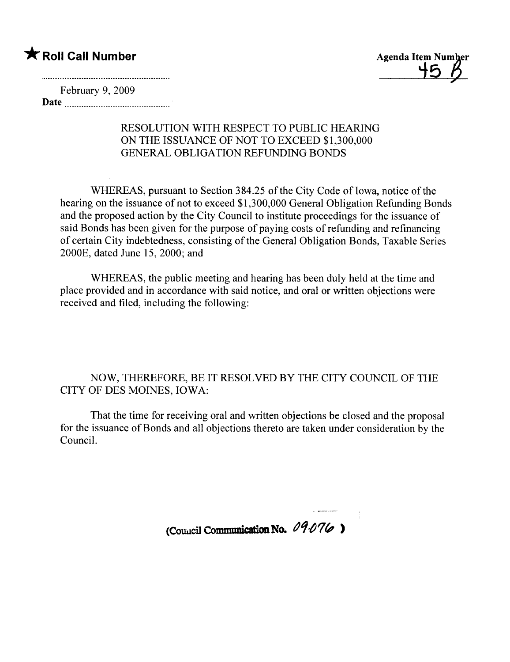## \* Roll Call Number



February 9, 2009 Date <u>music communication</u>

## RESOLUTION WITH RESPECT TO PUBLIC HEARING ON THE ISSUANCE OF NOT TO EXCEED \$1,300,000 GENERAL OBLIGATION REFUNDING BONDS

WHEREAS, pursuant to Section 384.25 of the City Code of Iowa, notice of the hearing on the issuance of not to exceed \$1,300,000 General Obligation Refunding Bonds and the proposed action by the City Council to institute proceedings for the issuance of said Bonds has been given for the purpose of paying costs of refunding and refinancing of certain City indebtedness, consisting of the General Obligation Bonds, Taxable Series 2000E, dated June 15,2000; and

WHEREAS, the public meeting and hearing has been duly held at the time and place provided and in accordance with said notice, and oral or written objections were received and filed, including the following:

NOW, THEREFORE, BE IT RESOLVED BY THE CITY COUNCIL OF THE CITY OF DES MOINES, IOWA:

That the time for receiving oral and written objections be closed and the proposal for the issuance of Bonds and all objections thereto are taken under consideration by the CounciL.

(Council Communication No.  $09.076$ )